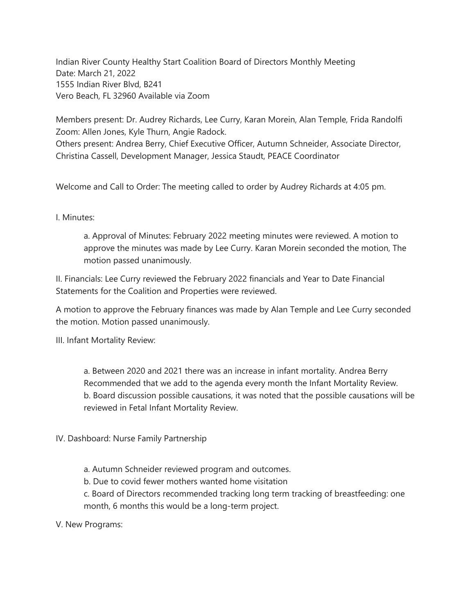Indian River County Healthy Start Coalition Board of Directors Monthly Meeting Date: March 21, 2022 1555 Indian River Blvd, B241 Vero Beach, FL 32960 Available via Zoom

Members present: Dr. Audrey Richards, Lee Curry, Karan Morein, Alan Temple, Frida Randolfi Zoom: Allen Jones, Kyle Thurn, Angie Radock. Others present: Andrea Berry, Chief Executive Officer, Autumn Schneider, Associate Director,

Christina Cassell, Development Manager, Jessica Staudt, PEACE Coordinator

Welcome and Call to Order: The meeting called to order by Audrey Richards at 4:05 pm.

## I. Minutes:

a. Approval of Minutes: February 2022 meeting minutes were reviewed. A motion to approve the minutes was made by Lee Curry. Karan Morein seconded the motion, The motion passed unanimously.

II. Financials: Lee Curry reviewed the February 2022 financials and Year to Date Financial Statements for the Coalition and Properties were reviewed.

A motion to approve the February finances was made by Alan Temple and Lee Curry seconded the motion. Motion passed unanimously.

III. Infant Mortality Review:

a. Between 2020 and 2021 there was an increase in infant mortality. Andrea Berry Recommended that we add to the agenda every month the Infant Mortality Review. b. Board discussion possible causations, it was noted that the possible causations will be reviewed in Fetal Infant Mortality Review.

IV. Dashboard: Nurse Family Partnership

a. Autumn Schneider reviewed program and outcomes.

b. Due to covid fewer mothers wanted home visitation

c. Board of Directors recommended tracking long term tracking of breastfeeding: one month, 6 months this would be a long-term project.

V. New Programs: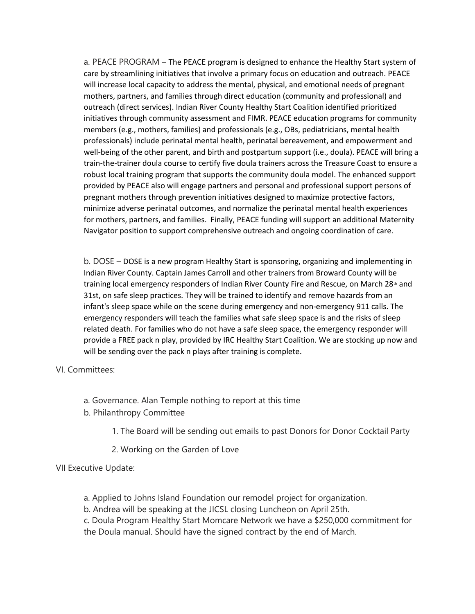a. PEACE PROGRAM – The PEACE program is designed to enhance the Healthy Start system of care by streamlining initiatives that involve a primary focus on education and outreach. PEACE will increase local capacity to address the mental, physical, and emotional needs of pregnant mothers, partners, and families through direct education (community and professional) and outreach (direct services). Indian River County Healthy Start Coalition identified prioritized initiatives through community assessment and FIMR. PEACE education programs for community members (e.g., mothers, families) and professionals (e.g., OBs, pediatricians, mental health professionals) include perinatal mental health, perinatal bereavement, and empowerment and well-being of the other parent, and birth and postpartum support (i.e., doula). PEACE will bring a train-the-trainer doula course to certify five doula trainers across the Treasure Coast to ensure a robust local training program that supports the community doula model. The enhanced support provided by PEACE also will engage partners and personal and professional support persons of pregnant mothers through prevention initiatives designed to maximize protective factors, minimize adverse perinatal outcomes, and normalize the perinatal mental health experiences for mothers, partners, and families.  Finally, PEACE funding will support an additional Maternity Navigator position to support comprehensive outreach and ongoing coordination of care.

b. DOSE – DOSE is a new program Healthy Start is sponsoring, organizing and implementing in Indian River County. Captain James Carroll and other trainers from Broward County will be training local emergency responders of Indian River County Fire and Rescue, on March  $28<sup>th</sup>$  and 31st, on safe sleep practices. They will be trained to identify and remove hazards from an infant's sleep space while on the scene during emergency and non-emergency 911 calls. The emergency responders will teach the families what safe sleep space is and the risks of sleep related death. For families who do not have a safe sleep space, the emergency responder will provide a FREE pack n play, provided by IRC Healthy Start Coalition. We are stocking up now and will be sending over the pack n plays after training is complete.

VI. Committees:

- a. Governance. Alan Temple nothing to report at this time
- b. Philanthropy Committee
	- 1. The Board will be sending out emails to past Donors for Donor Cocktail Party
	- 2. Working on the Garden of Love

VII Executive Update:

- a. Applied to Johns Island Foundation our remodel project for organization.
- b. Andrea will be speaking at the JICSL closing Luncheon on April 25th.
- c. Doula Program Healthy Start Momcare Network we have a \$250,000 commitment for the Doula manual. Should have the signed contract by the end of March.